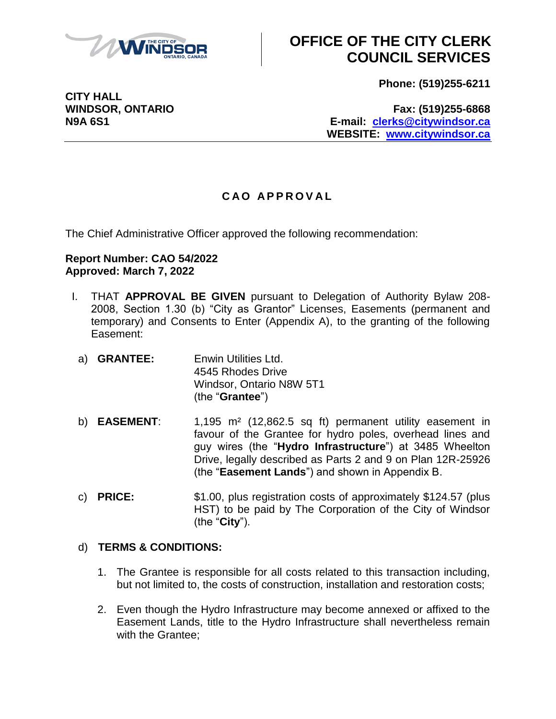

# **OFFICE OF THE CITY CLERK COUNCIL SERVICES**

**Phone: (519)255-6211**

**WINDSOR, ONTARIO Fax: (519)255-6868 N9A 6S1 E-mail: [clerks@citywindsor.ca](mailto:clerks@citywindsor.ca) WEBSITE: [www.citywindsor.ca](http://www.citywindsor.ca/)**

### **C A O A P P R O V A L**

The Chief Administrative Officer approved the following recommendation:

#### **Report Number: CAO 54/2022 Approved: March 7, 2022**

- I. THAT **APPROVAL BE GIVEN** pursuant to Delegation of Authority Bylaw 208- 2008, Section 1.30 (b) "City as Grantor" Licenses, Easements (permanent and temporary) and Consents to Enter (Appendix A), to the granting of the following Easement:
	- a) **GRANTEE:** Enwin Utilities Ltd. 4545 Rhodes Drive Windsor, Ontario N8W 5T1 (the "**Grantee**")
	- b) **EASEMENT**: 1,195 m² (12,862.5 sq ft) permanent utility easement in favour of the Grantee for hydro poles, overhead lines and guy wires (the "**Hydro Infrastructure**") at 3485 Wheelton Drive, legally described as Parts 2 and 9 on Plan 12R-25926 (the "**Easement Lands**") and shown in Appendix B.
	- c) **PRICE:** \$1.00, plus registration costs of approximately \$124.57 (plus HST) to be paid by The Corporation of the City of Windsor (the "**City**").

### d) **TERMS & CONDITIONS:**

- 1. The Grantee is responsible for all costs related to this transaction including, but not limited to, the costs of construction, installation and restoration costs;
- 2. Even though the Hydro Infrastructure may become annexed or affixed to the Easement Lands, title to the Hydro Infrastructure shall nevertheless remain with the Grantee;

**CITY HALL**